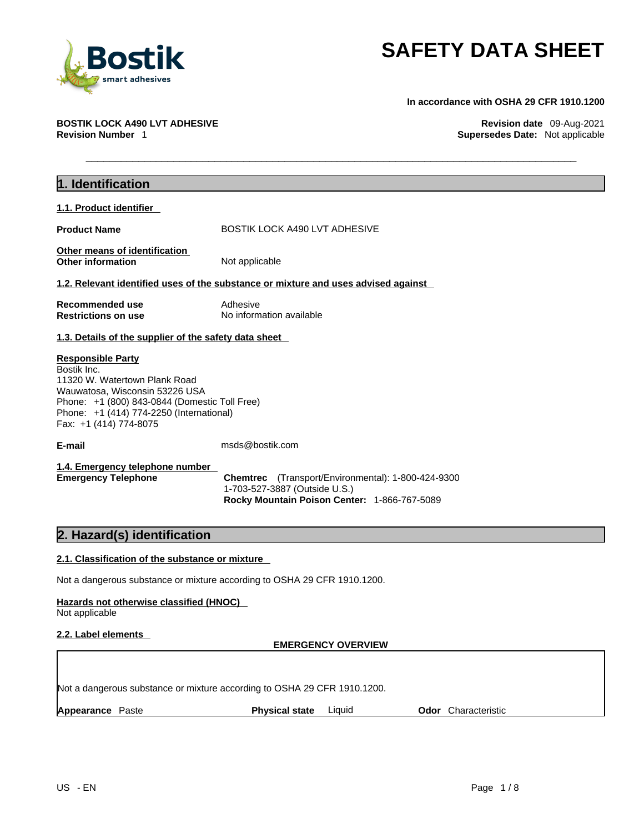

**In accordance with OSHA 29 CFR 1910.1200** 

**BOSTIK LOCK A490 LVT ADHESIVE Revision date** 09-Aug-2021 **Supersedes Date:** Not applicable

| 1. Identification                                                                                                                                                                                                                 |                                                                                                                                     |  |
|-----------------------------------------------------------------------------------------------------------------------------------------------------------------------------------------------------------------------------------|-------------------------------------------------------------------------------------------------------------------------------------|--|
| 1.1. Product identifier                                                                                                                                                                                                           |                                                                                                                                     |  |
| <b>Product Name</b>                                                                                                                                                                                                               | BOSTIK LOCK A490 LVT ADHESIVE                                                                                                       |  |
| Other means of identification<br><b>Other information</b>                                                                                                                                                                         | Not applicable                                                                                                                      |  |
|                                                                                                                                                                                                                                   | 1.2. Relevant identified uses of the substance or mixture and uses advised against                                                  |  |
| Recommended use<br><b>Restrictions on use</b>                                                                                                                                                                                     | Adhesive<br>No information available                                                                                                |  |
| 1.3. Details of the supplier of the safety data sheet                                                                                                                                                                             |                                                                                                                                     |  |
| <b>Responsible Party</b><br>Bostik Inc.<br>11320 W. Watertown Plank Road<br>Wauwatosa, Wisconsin 53226 USA<br>Phone: +1 (800) 843-0844 (Domestic Toll Free)<br>Phone: +1 (414) 774-2250 (International)<br>Fax: +1 (414) 774-8075 |                                                                                                                                     |  |
| E-mail                                                                                                                                                                                                                            | msds@bostik.com                                                                                                                     |  |
| 1.4. Emergency telephone number<br><b>Emergency Telephone</b>                                                                                                                                                                     | Chemtrec (Transport/Environmental): 1-800-424-9300<br>1-703-527-3887 (Outside U.S.)<br>Rocky Mountain Poison Center: 1-866-767-5089 |  |
| 2. Hazard(s) identification                                                                                                                                                                                                       |                                                                                                                                     |  |
| 2.1. Classification of the substance or mixture                                                                                                                                                                                   |                                                                                                                                     |  |
| Not a dangerous substance or mixture according to OSHA 29 CFR 1910.1200.                                                                                                                                                          |                                                                                                                                     |  |
| Hazards not otherwise classified (HNOC)<br>Not applicable                                                                                                                                                                         |                                                                                                                                     |  |
| 2.2. Label elements                                                                                                                                                                                                               | <b>EMERGENCY OVERVIEW</b>                                                                                                           |  |

Not a dangerous substance or mixture according to OSHA 29 CFR 1910.1200.

**Appearance** Paste **Physical state** Liquid **Odor** Characteristic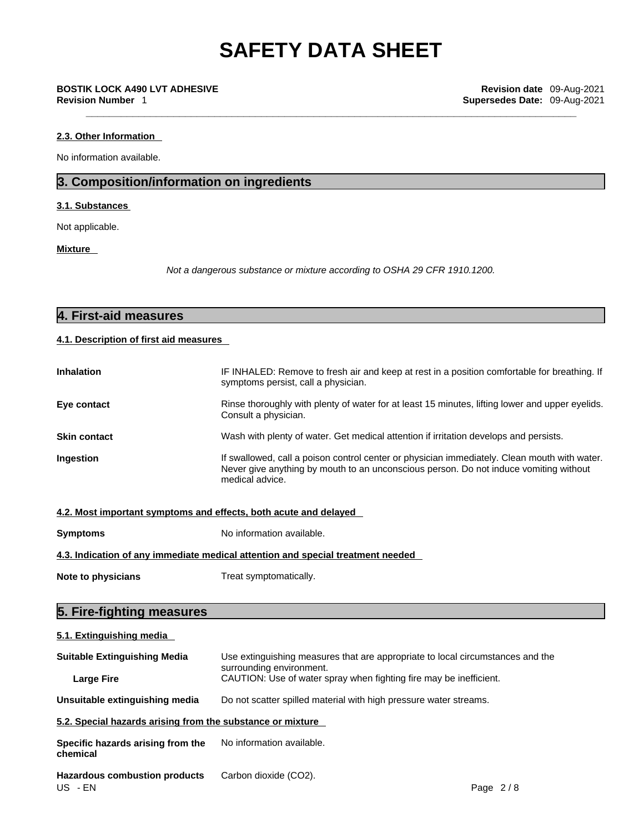### **2.3. Other Information**

No information available.

# **3. Composition/information on ingredients**

## **3.1. Substances**

Not applicable.

**Mixture** 

*Not a dangerous substance or mixture according to OSHA 29 CFR 1910.1200.*

| <b>4. First-aid measures</b> |  |
|------------------------------|--|
|                              |  |

# **4.1. Description of first aid measures**

| <b>Inhalation</b>   | IF INHALED: Remove to fresh air and keep at rest in a position comfortable for breathing. If<br>symptoms persist, call a physician.                                                                      |
|---------------------|----------------------------------------------------------------------------------------------------------------------------------------------------------------------------------------------------------|
| Eye contact         | Rinse thoroughly with plenty of water for at least 15 minutes, lifting lower and upper eyelids.<br>Consult a physician.                                                                                  |
| <b>Skin contact</b> | Wash with plenty of water. Get medical attention if irritation develops and persists.                                                                                                                    |
| Ingestion           | If swallowed, call a poison control center or physician immediately. Clean mouth with water.<br>Never give anything by mouth to an unconscious person. Do not induce vomiting without<br>medical advice. |

|  | 4.2. Most important symptoms and effects, both acute and delayed |  |
|--|------------------------------------------------------------------|--|
|  |                                                                  |  |

**Symptoms** No information available.

**4.3. Indication of any immediate medical attention and special treatment needed**

**Note to physicians** Treat symptomatically.

# **5. Fire-fighting measures**

**5.1. Extinguishing media Suitable Extinguishing Media** Use extinguishing measures that are appropriate to local circumstances and the surrounding environment. **Large Fire Example 20** CAUTION: Use of water spray when fighting fire may be inefficient. **Unsuitable extinguishing media** Do not scatter spilled material with high pressure water streams. **5.2. Special hazards arising from the substance or mixture Specific hazards arising from the chemical** No information available. **Hazardous combustion products** Carbon dioxide (CO2). US - EN Page 2 / 8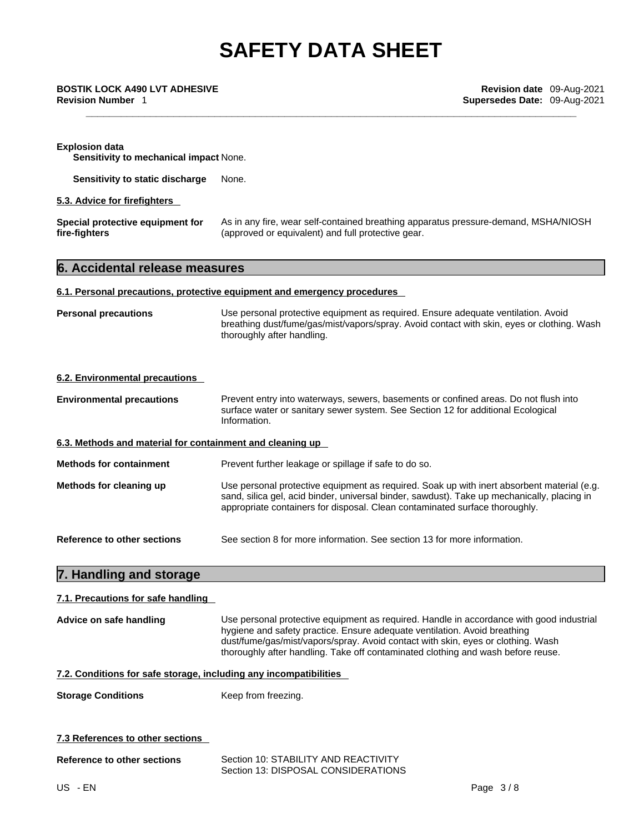# **Explosion data Sensitivity to mechanical impact** None. **Sensitivity to static discharge** None. **5.3. Advice for firefighters Special protective equipment for fire-fighters** As in any fire, wear self-contained breathing apparatus pressure-demand, MSHA/NIOSH (approved or equivalent) and full protective gear. **6. Accidental release measures 6.1. Personal precautions, protective equipment and emergency procedures Personal precautions** Use personal protective equipment as required. Ensure adequate ventilation. Avoid breathing dust/fume/gas/mist/vapors/spray. Avoid contact with skin, eyes or clothing. Wash thoroughly after handling. **6.2. Environmental precautions Environmental precautions** Prevent entry into waterways, sewers, basements or confined areas. Do not flush into surface water or sanitary sewer system. See Section 12 for additional Ecological Information. **6.3. Methods and material for containment and cleaning up Methods for containment** Prevent further leakage or spillage if safe to do so. **Methods for cleaning up** Use personal protective equipment as required. Soak up with inert absorbent material (e.g. sand, silica gel, acid binder, universal binder, sawdust). Take up mechanically, placing in appropriate containers for disposal. Clean contaminated surface thoroughly. **Reference to other sections** See section 8 for more information. See section 13 for more information. **7. Handling and storage 7.1. Precautions for safe handling Advice on safe handling** Use personal protective equipment as required.Handle in accordance with good industrial hygiene and safety practice. Ensure adequate ventilation. Avoid breathing dust/fume/gas/mist/vapors/spray. Avoid contact with skin, eyes or clothing. Wash thoroughly after handling. Take off contaminated clothing and wash before reuse.

## **7.2. Conditions for safe storage, including any incompatibilities**

**Storage Conditions** Keep from freezing.

### **7.3 References to other sections**

| Reference to other sections | Section 10: STABILITY AND REACTIVITY |
|-----------------------------|--------------------------------------|
|                             | Section 13: DISPOSAL CONSIDERATIONS  |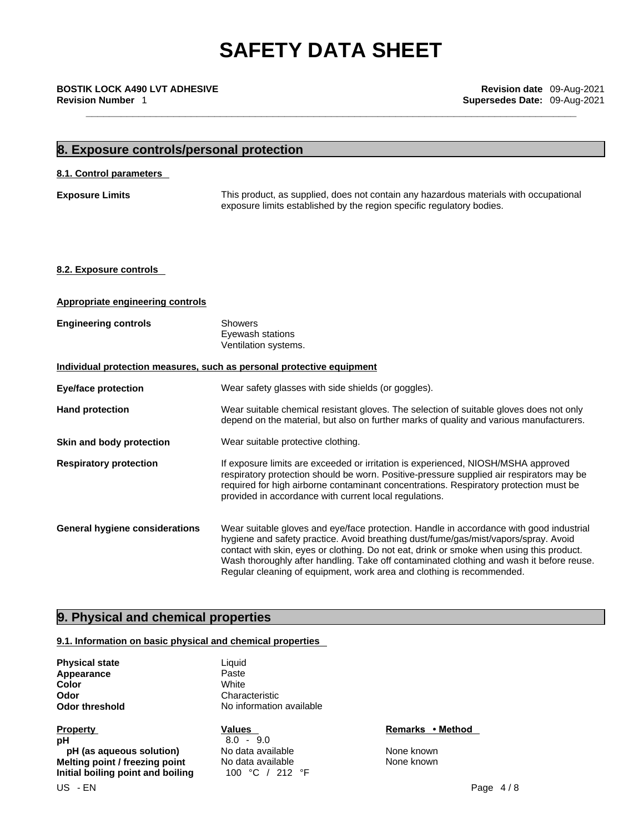**\_\_\_\_\_\_\_\_\_\_\_\_\_\_\_\_\_\_\_\_\_\_\_\_\_\_\_\_\_\_\_\_\_\_\_\_\_\_\_\_\_\_\_\_\_\_\_\_\_\_\_\_\_\_\_\_\_\_\_\_\_\_\_\_\_\_\_\_\_\_\_\_\_\_\_\_\_\_\_\_\_\_\_\_ BOSTIK LOCK A490 LVT ADHESIVE Revision date** 09-Aug-2021 **Revision Number** 1 **Supersedes Date:** 09-Aug-2021

# **8. Exposure controls/personal protection 8.1. Control parameters Exposure Limits** This product, as supplied, does not contain any hazardous materials with occupational exposure limits established by the region specific regulatory bodies. **8.2. Exposure controls Appropriate engineering controls Engineering controls** Showers Eyewash stations Ventilation systems. **Individual protection measures, such as personal protective equipment Eye/face protection** Wear safety glasses with side shields (or goggles). Hand protection **Wear suitable chemical resistant gloves**. The selection of suitable gloves does not only depend on the material, but also on further marks of quality and various manufacturers. **Skin and body protection** Wear suitable protective clothing. **Respiratory protection** If exposure limits are exceeded or irritation is experienced, NIOSH/MSHA approved respiratory protection should be worn. Positive-pressure supplied air respirators may be required for high airborne contaminant concentrations. Respiratory protection must be provided in accordance with current local regulations. **General hygiene considerations** Wear suitable gloves and eye/face protection. Handle in accordance with good industrial hygiene and safety practice. Avoid breathing dust/fume/gas/mist/vapors/spray. Avoid contact with skin, eyes or clothing. Do not eat, drink or smoke when using this product. Wash thoroughly after handling. Take off contaminated clothing and wash it before reuse. Regular cleaning of equipment, work area and clothing is recommended.

# **9. Physical and chemical properties**

# **9.1. Information on basic physical and chemical properties**

| <b>Physical state</b> | Liquid             |
|-----------------------|--------------------|
| Appearance            | Paste              |
| Color                 | White              |
| Odor                  | Characteristic     |
| Odor threshold        | No information ava |
|                       |                    |

**Property CONSIDERENT CONSIDERENT Values CONSIDERENT CONSIDERENT CONSIDERENT CONSIDERENT CONSIDERENT CONSIDERENT CONSIDERENT CONSIDERENT CONSIDERENT CONSIDERED VALUES pH**  $\overline{8.0} - 9.0$ **pH** (as **aqueous solution)** No data available None known **Melting point / freezing point** No data available None Known **Initial boiling point and boiling** 100 °C / 212 °F

**Odor** Characteristic **No information available**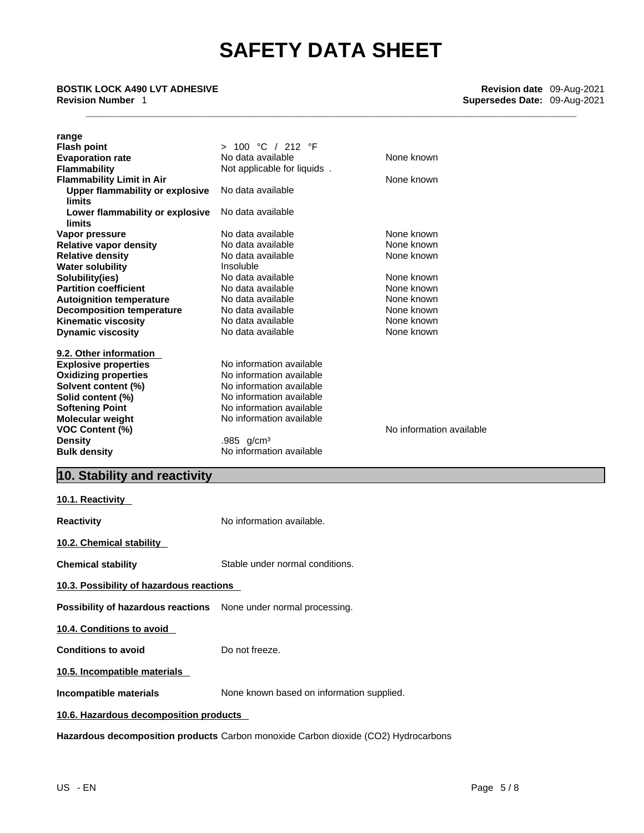| range<br><b>Flash point</b><br><b>Evaporation rate</b><br><b>Flammability</b>               | > 100 °C / 212 °F<br>No data available<br>Not applicable for liquids. | None known               |
|---------------------------------------------------------------------------------------------|-----------------------------------------------------------------------|--------------------------|
| <b>Flammability Limit in Air</b><br><b>Upper flammability or explosive</b><br><b>limits</b> | No data available                                                     | None known               |
| Lower flammability or explosive<br>limits                                                   | No data available                                                     |                          |
| Vapor pressure                                                                              | No data available                                                     | None known               |
| <b>Relative vapor density</b>                                                               | No data available                                                     | None known               |
| <b>Relative density</b>                                                                     | No data available                                                     | None known               |
| <b>Water solubility</b>                                                                     | Insoluble                                                             |                          |
| Solubility(ies)                                                                             | No data available                                                     | None known               |
| <b>Partition coefficient</b>                                                                | No data available                                                     | None known               |
| <b>Autoignition temperature</b>                                                             | No data available                                                     | None known               |
| <b>Decomposition temperature</b>                                                            | No data available                                                     | None known               |
| <b>Kinematic viscosity</b>                                                                  | No data available                                                     | None known               |
| <b>Dynamic viscosity</b>                                                                    | No data available                                                     | None known               |
| 9.2. Other information                                                                      |                                                                       |                          |
| <b>Explosive properties</b>                                                                 | No information available                                              |                          |
| <b>Oxidizing properties</b>                                                                 | No information available                                              |                          |
| Solvent content (%)                                                                         | No information available                                              |                          |
| Solid content (%)                                                                           | No information available                                              |                          |
| <b>Softening Point</b>                                                                      | No information available                                              |                          |
| Molecular weight                                                                            | No information available                                              |                          |
| <b>VOC Content (%)</b>                                                                      |                                                                       | No information available |
| <b>Density</b>                                                                              | .985 $g/cm3$                                                          |                          |
| <b>Bulk density</b>                                                                         | No information available                                              |                          |
| 10. Stability and reactivity                                                                |                                                                       |                          |
| 10.1. Reactivity                                                                            |                                                                       |                          |
| <b>Reactivity</b>                                                                           | No information available.                                             |                          |
| 10.2. Chemical stability                                                                    |                                                                       |                          |

**Chemical stability** Stable under normal conditions.

**10.3. Possibility of hazardous reactions**

**Possibility of hazardous reactions** None under normal processing.

**10.4. Conditions to avoid** 

**Conditions to avoid** Do not freeze.

**10.5. Incompatible materials**

**Incompatible materials** None known based on information supplied.

**10.6. Hazardous decomposition products** 

**Hazardous decomposition products** Carbon monoxide Carbon dioxide (CO2) Hydrocarbons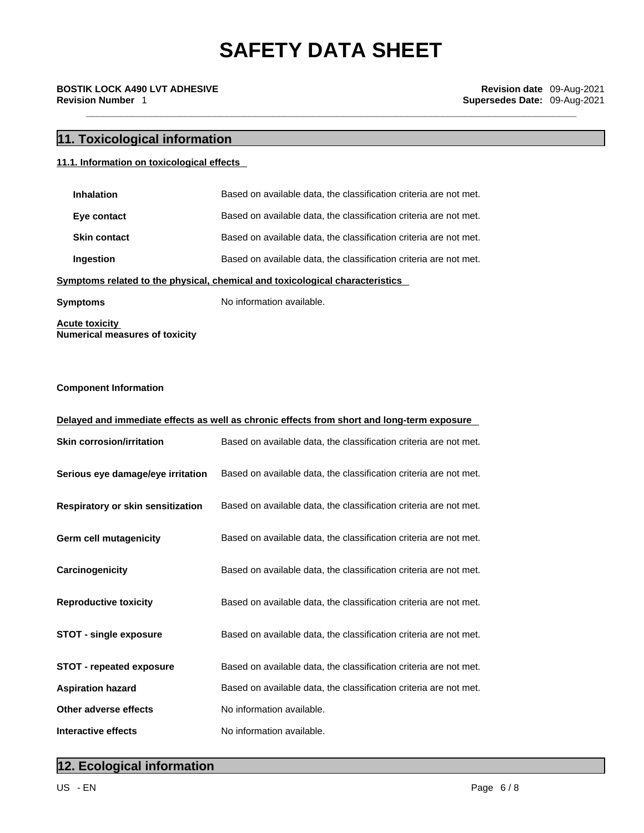# **11. Toxicological information**

# **11.1.** Information on **toxicological effects**

| <b>Inhalation</b>   | Based on available data, the classification criteria are not met. |
|---------------------|-------------------------------------------------------------------|
| Eye contact         | Based on available data, the classification criteria are not met. |
| <b>Skin contact</b> | Based on available data, the classification criteria are not met. |
| Ingestion           | Based on available data, the classification criteria are not met. |

# **<u>Symptoms related to the physical, chemical and toxicological characteristics</u>**

**Symptoms** No information available.

**Acute toxicity Numerical measures of toxicity**

# **Component Information**

| Delayed and immediate effects as well as chronic effects from short and long-term exposure |                                                                   |  |
|--------------------------------------------------------------------------------------------|-------------------------------------------------------------------|--|
| <b>Skin corrosion/irritation</b>                                                           | Based on available data, the classification criteria are not met. |  |
| Serious eye damage/eye irritation                                                          | Based on available data, the classification criteria are not met. |  |
| Respiratory or skin sensitization                                                          | Based on available data, the classification criteria are not met. |  |
| Germ cell mutagenicity                                                                     | Based on available data, the classification criteria are not met. |  |
| Carcinogenicity                                                                            | Based on available data, the classification criteria are not met. |  |
| <b>Reproductive toxicity</b>                                                               | Based on available data, the classification criteria are not met. |  |
| <b>STOT - single exposure</b>                                                              | Based on available data, the classification criteria are not met. |  |
| <b>STOT - repeated exposure</b>                                                            | Based on available data, the classification criteria are not met. |  |
| <b>Aspiration hazard</b>                                                                   | Based on available data, the classification criteria are not met. |  |
| Other adverse effects                                                                      | No information available.                                         |  |
| Interactive effects                                                                        | No information available.                                         |  |

# **12. Ecological information**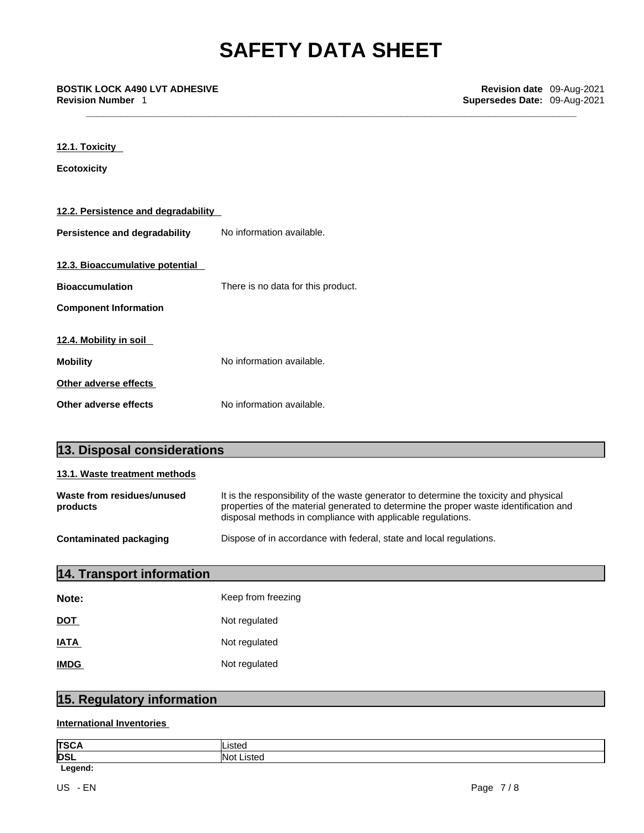**\_\_\_\_\_\_\_\_\_\_\_\_\_\_\_\_\_\_\_\_\_\_\_\_\_\_\_\_\_\_\_\_\_\_\_\_\_\_\_\_\_\_\_\_\_\_\_\_\_\_\_\_\_\_\_\_\_\_\_\_\_\_\_\_\_\_\_\_\_\_\_\_\_\_\_\_\_\_\_\_\_\_\_\_ BOSTIK LOCK A490 LVT ADHESIVE Revision date** 09-Aug-2021

**12.1. Toxicity** 

| <b>Ecotoxicity</b>                  |                                    |
|-------------------------------------|------------------------------------|
|                                     |                                    |
|                                     |                                    |
| 12.2. Persistence and degradability |                                    |
|                                     |                                    |
| Persistence and degradability       | No information available.          |
|                                     |                                    |
| 12.3. Bioaccumulative potential     |                                    |
|                                     |                                    |
| <b>Bioaccumulation</b>              | There is no data for this product. |
|                                     |                                    |
| <b>Component Information</b>        |                                    |
|                                     |                                    |
| 12.4. Mobility in soil              |                                    |
|                                     |                                    |
| <b>Mobility</b>                     | No information available.          |
| Other adverse effects               |                                    |
|                                     |                                    |
| Other adverse effects               | No information available.          |

| 13. Disposal considerations            |                                                                                                                                                                                                                                                |  |
|----------------------------------------|------------------------------------------------------------------------------------------------------------------------------------------------------------------------------------------------------------------------------------------------|--|
| 13.1. Waste treatment methods          |                                                                                                                                                                                                                                                |  |
| Waste from residues/unused<br>products | It is the responsibility of the waste generator to determine the toxicity and physical<br>properties of the material generated to determine the proper waste identification and<br>disposal methods in compliance with applicable regulations. |  |
| <b>Contaminated packaging</b>          | Dispose of in accordance with federal, state and local regulations.                                                                                                                                                                            |  |
| 14. Transport information              |                                                                                                                                                                                                                                                |  |
| Note:                                  | Keep from freezing                                                                                                                                                                                                                             |  |
| <b>DOT</b>                             | Not regulated                                                                                                                                                                                                                                  |  |
| <b>IATA</b>                            | Not regulated                                                                                                                                                                                                                                  |  |
| <b>IMDG</b>                            | Not regulated                                                                                                                                                                                                                                  |  |

# **15. Regulatory information**

**International Inventories**

| ltsc.      | .              |
|------------|----------------|
| <b>DSL</b> | lN∩:<br>∟ister |
|            |                |